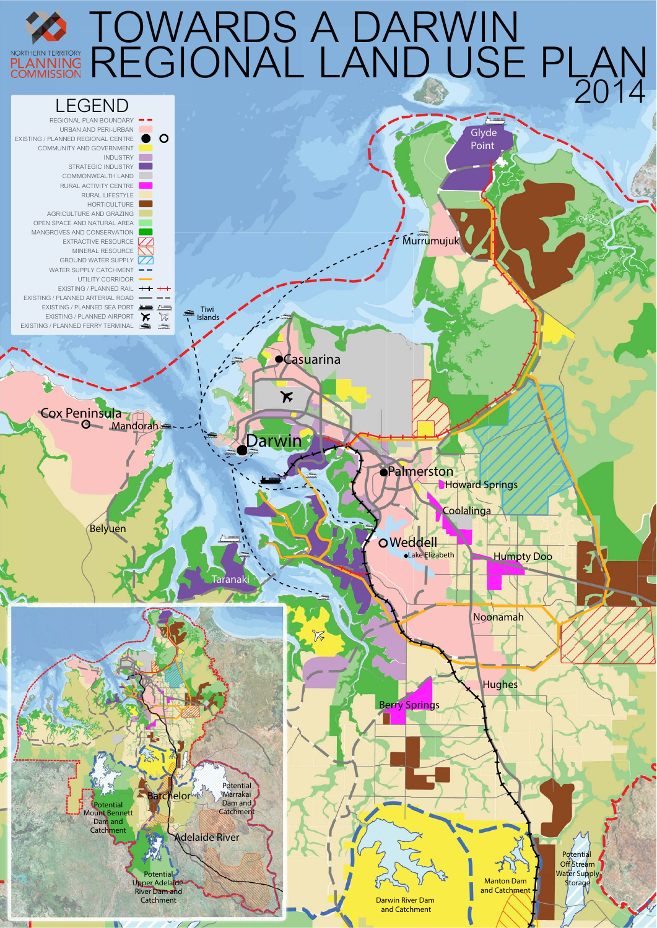